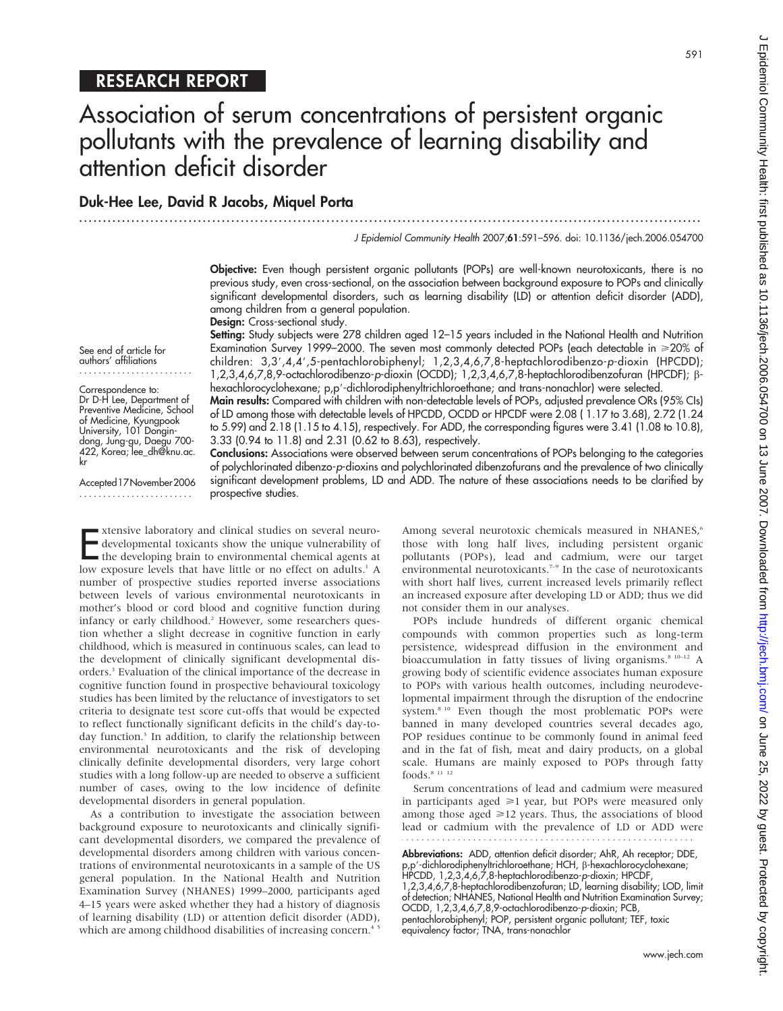591

# RESEARCH REPORT

# Association of serum concentrations of persistent organic pollutants with the prevalence of learning disability and attention deficit disorder

...................................................................................................................................

## Duk-Hee Lee, David R Jacobs, Miquel Porta

J Epidemiol Community Health 2007;61:591–596. doi: 10.1136/jech.2006.054700

Objective: Even though persistent organic pollutants (POPs) are well-known neurotoxicants, there is no previous study, even cross-sectional, on the association between background exposure to POPs and clinically significant developmental disorders, such as learning disability (LD) or attention deficit disorder (ADD), among children from a general population.

Design: Cross-sectional study.

Setting: Study subjects were 278 children aged 12-15 years included in the National Health and Nutrition Examination Survey 1999-2000. The seven most commonly detected POPs (each detectable in ≥20% of children: 3,3',4,4',5-pentachlorobiphenyl; 1,2,3,4,6,7,8-heptachlorodibenzo-p-dioxin (HPCDD); 1,2,3,4,6,7,8,9-octachlorodibenzo-p-dioxin (OCDD); 1,2,3,4,6,7,8-heptachlorodibenzofuran (HPCDF); bhexachlorocyclohexane; p,p'-dichlorodiphenyltrichloroethane; and trans-nonachlor) were selected.

Main results: Compared with children with non-detectable levels of POPs, adjusted prevalence ORs (95% CIs) of LD among those with detectable levels of HPCDD, OCDD or HPCDF were 2.08 ( 1.17 to 3.68), 2.72 (1.24 to 5.99) and 2.18 (1.15 to 4.15), respectively. For ADD, the corresponding figures were 3.41 (1.08 to 10.8), 3.33 (0.94 to 11.8) and 2.31 (0.62 to 8.63), respectively.

Conclusions: Associations were observed between serum concentrations of POPs belonging to the categories of polychlorinated dibenzo-p-dioxins and polychlorinated dibenzofurans and the prevalence of two clinically significant development problems, LD and ADD. The nature of these associations needs to be clarified by prospective studies.

Extensive laboratory and clinical studies on several neuro-<br>developmental toxicants show the unique vulnerability of<br>the developing brain to environmental chemical agents at<br>low exposure levels that have little or no effec xtensive laboratory and clinical studies on several neurodevelopmental toxicants show the unique vulnerability of the developing brain to environmental chemical agents at number of prospective studies reported inverse associations between levels of various environmental neurotoxicants in mother's blood or cord blood and cognitive function during infancy or early childhood.<sup>2</sup> However, some researchers question whether a slight decrease in cognitive function in early childhood, which is measured in continuous scales, can lead to the development of clinically significant developmental disorders.3 Evaluation of the clinical importance of the decrease in cognitive function found in prospective behavioural toxicology studies has been limited by the reluctance of investigators to set criteria to designate test score cut-offs that would be expected to reflect functionally significant deficits in the child's day-today function.<sup>3</sup> In addition, to clarify the relationship between environmental neurotoxicants and the risk of developing clinically definite developmental disorders, very large cohort studies with a long follow-up are needed to observe a sufficient number of cases, owing to the low incidence of definite developmental disorders in general population.

As a contribution to investigate the association between background exposure to neurotoxicants and clinically significant developmental disorders, we compared the prevalence of developmental disorders among children with various concentrations of environmental neurotoxicants in a sample of the US general population. In the National Health and Nutrition Examination Survey (NHANES) 1999–2000, participants aged 4–15 years were asked whether they had a history of diagnosis of learning disability (LD) or attention deficit disorder (ADD), which are among childhood disabilities of increasing concern.<sup>4</sup>

Among several neurotoxic chemicals measured in NHANES,<sup>6</sup> those with long half lives, including persistent organic pollutants (POPs), lead and cadmium, were our target environmental neurotoxicants.<sup> $7-9$ </sup> In the case of neurotoxicants with short half lives, current increased levels primarily reflect an increased exposure after developing LD or ADD; thus we did not consider them in our analyses.

POPs include hundreds of different organic chemical compounds with common properties such as long-term persistence, widespread diffusion in the environment and bioaccumulation in fatty tissues of living organisms.<sup>8 10-12</sup> A growing body of scientific evidence associates human exposure to POPs with various health outcomes, including neurodevelopmental impairment through the disruption of the endocrine system.<sup>8 10</sup> Even though the most problematic POPs were banned in many developed countries several decades ago, POP residues continue to be commonly found in animal feed and in the fat of fish, meat and dairy products, on a global scale. Humans are mainly exposed to POPs through fatty foods. $8$ <sup>11 12</sup>

Serum concentrations of lead and cadmium were measured in participants aged  $\geq 1$  year, but POPs were measured only among those aged  $\geq 12$  years. Thus, the associations of blood lead or cadmium with the prevalence of LD or ADD were

Abbreviations: ADD, attention deficit disorder; AhR, Ah receptor; DDE, p,p'-dichlorodiphenyltrichloroethane; HCH, β-hexachlorocyclohexane; HPCDD, 1,2,3,4,6,7,8-heptachlorodibenzo-p-dioxin; HPCDF, 1,2,3,4,6,7,8-heptachlorodibenzofuran; LD, learning disability; LOD, limit of detection; NHANES, National Health and Nutrition Examination Survey; OCDD, 1,2,3,4,6,7,8,9-octachlorodibenzo-p-dioxin; PCB, pentachlorobiphenyl; POP, persistent organic pollutant; TEF, toxic equivalency factor; TNA, trans-nonachlor

See end of article for authors' affiliations ........................

#### Correspondence to:

Dr D-H Lee, Department of Preventive Medicine, School of Medicine, Kyungpook University, 101 Dongindong, Jung-gu, Daegu 700- 422, Korea; lee\_dh@knu.ac. kr

Accepted17November2006 ........................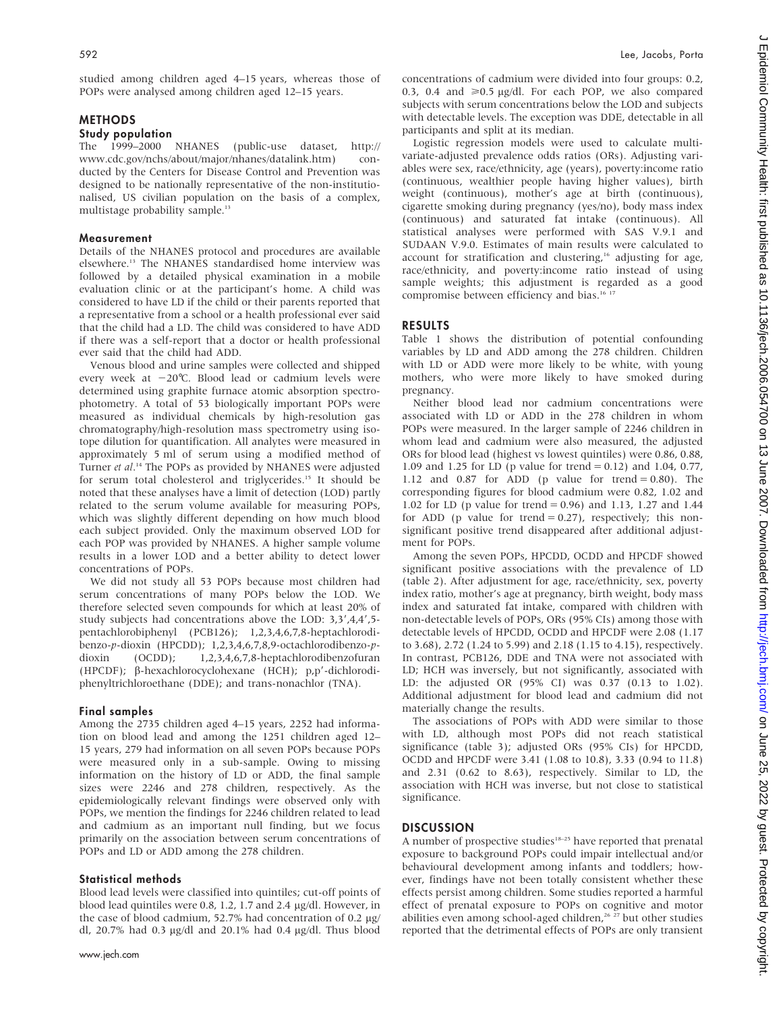studied among children aged 4–15 years, whereas those of POPs were analysed among children aged 12–15 years.

#### METHODS

#### Study population

The 1999–2000 NHANES (public-use dataset, http:// www.cdc.gov/nchs/about/major/nhanes/datalink.htm) conducted by the Centers for Disease Control and Prevention was designed to be nationally representative of the non-institutionalised, US civilian population on the basis of a complex, multistage probability sample.<sup>13</sup>

#### Measurement

Details of the NHANES protocol and procedures are available elsewhere.13 The NHANES standardised home interview was followed by a detailed physical examination in a mobile evaluation clinic or at the participant's home. A child was considered to have LD if the child or their parents reported that a representative from a school or a health professional ever said that the child had a LD. The child was considered to have ADD if there was a self-report that a doctor or health professional ever said that the child had ADD.

Venous blood and urine samples were collected and shipped every week at  $-20^{\circ}$ C. Blood lead or cadmium levels were determined using graphite furnace atomic absorption spectrophotometry. A total of 53 biologically important POPs were measured as individual chemicals by high-resolution gas chromatography/high-resolution mass spectrometry using isotope dilution for quantification. All analytes were measured in approximately 5 ml of serum using a modified method of Turner et al.<sup>14</sup> The POPs as provided by NHANES were adjusted for serum total cholesterol and triglycerides.<sup>15</sup> It should be noted that these analyses have a limit of detection (LOD) partly related to the serum volume available for measuring POPs, which was slightly different depending on how much blood each subject provided. Only the maximum observed LOD for each POP was provided by NHANES. A higher sample volume results in a lower LOD and a better ability to detect lower concentrations of POPs.

We did not study all 53 POPs because most children had serum concentrations of many POPs below the LOD. We therefore selected seven compounds for which at least 20% of study subjects had concentrations above the LOD: 3,3',4,4',5pentachlorobiphenyl (PCB126); 1,2,3,4,6,7,8-heptachlorodibenzo-p-dioxin (HPCDD); 1,2,3,4,6,7,8,9-octachlorodibenzo-pdioxin (OCDD); 1,2,3,4,6,7,8-heptachlorodibenzofuran (HPCDF);  $\beta$ -hexachlorocyclohexane (HCH); p,p'-dichlorodiphenyltrichloroethane (DDE); and trans-nonachlor (TNA).

#### Final samples

Among the 2735 children aged 4–15 years, 2252 had information on blood lead and among the 1251 children aged 12– 15 years, 279 had information on all seven POPs because POPs were measured only in a sub-sample. Owing to missing information on the history of LD or ADD, the final sample sizes were 2246 and 278 children, respectively. As the epidemiologically relevant findings were observed only with POPs, we mention the findings for 2246 children related to lead and cadmium as an important null finding, but we focus primarily on the association between serum concentrations of POPs and LD or ADD among the 278 children.

#### Statistical methods

Blood lead levels were classified into quintiles; cut-off points of blood lead quintiles were 0.8, 1.2, 1.7 and 2.4  $\mu$ g/dl. However, in the case of blood cadmium, 52.7% had concentration of 0.2  $\mu$ g/ dl, 20.7% had 0.3  $\mu$ g/dl and 20.1% had 0.4  $\mu$ g/dl. Thus blood

concentrations of cadmium were divided into four groups: 0.2, 0.3, 0.4 and  $\geq 0.5 \mu g/dl$ . For each POP, we also compared subjects with serum concentrations below the LOD and subjects with detectable levels. The exception was DDE, detectable in all participants and split at its median.

Logistic regression models were used to calculate multivariate-adjusted prevalence odds ratios (ORs). Adjusting variables were sex, race/ethnicity, age (years), poverty:income ratio (continuous, wealthier people having higher values), birth weight (continuous), mother's age at birth (continuous), cigarette smoking during pregnancy (yes/no), body mass index (continuous) and saturated fat intake (continuous). All statistical analyses were performed with SAS V.9.1 and SUDAAN V.9.0. Estimates of main results were calculated to account for stratification and clustering,<sup>16</sup> adjusting for age, race/ethnicity, and poverty:income ratio instead of using sample weights; this adjustment is regarded as a good compromise between efficiency and bias.<sup>16 17</sup>

#### RESULTS

Table 1 shows the distribution of potential confounding variables by LD and ADD among the 278 children. Children with LD or ADD were more likely to be white, with young mothers, who were more likely to have smoked during pregnancy.

Neither blood lead nor cadmium concentrations were associated with LD or ADD in the 278 children in whom POPs were measured. In the larger sample of 2246 children in whom lead and cadmium were also measured, the adjusted ORs for blood lead (highest vs lowest quintiles) were 0.86, 0.88, 1.09 and 1.25 for LD (p value for trend = 0.12) and 1.04, 0.77, 1.12 and 0.87 for ADD (p value for trend = 0.80). The corresponding figures for blood cadmium were 0.82, 1.02 and 1.02 for LD (p value for trend = 0.96) and 1.13, 1.27 and 1.44 for ADD (p value for trend  $= 0.27$ ), respectively; this nonsignificant positive trend disappeared after additional adjustment for POPs.

Among the seven POPs, HPCDD, OCDD and HPCDF showed significant positive associations with the prevalence of LD (table 2). After adjustment for age, race/ethnicity, sex, poverty index ratio, mother's age at pregnancy, birth weight, body mass index and saturated fat intake, compared with children with non-detectable levels of POPs, ORs (95% CIs) among those with detectable levels of HPCDD, OCDD and HPCDF were 2.08 (1.17 to 3.68), 2.72 (1.24 to 5.99) and 2.18 (1.15 to 4.15), respectively. In contrast, PCB126, DDE and TNA were not associated with LD; HCH was inversely, but not significantly, associated with LD: the adjusted OR (95% CI) was 0.37 (0.13 to 1.02). Additional adjustment for blood lead and cadmium did not materially change the results.

The associations of POPs with ADD were similar to those with LD, although most POPs did not reach statistical significance (table 3); adjusted ORs (95% CIs) for HPCDD, OCDD and HPCDF were 3.41 (1.08 to 10.8), 3.33 (0.94 to 11.8) and 2.31 (0.62 to 8.63), respectively. Similar to LD, the association with HCH was inverse, but not close to statistical significance.

#### **DISCUSSION**

A number of prospective studies<sup>18–25</sup> have reported that prenatal exposure to background POPs could impair intellectual and/or behavioural development among infants and toddlers; however, findings have not been totally consistent whether these effects persist among children. Some studies reported a harmful effect of prenatal exposure to POPs on cognitive and motor abilities even among school-aged children,<sup>26-27</sup> but other studies reported that the detrimental effects of POPs are only transient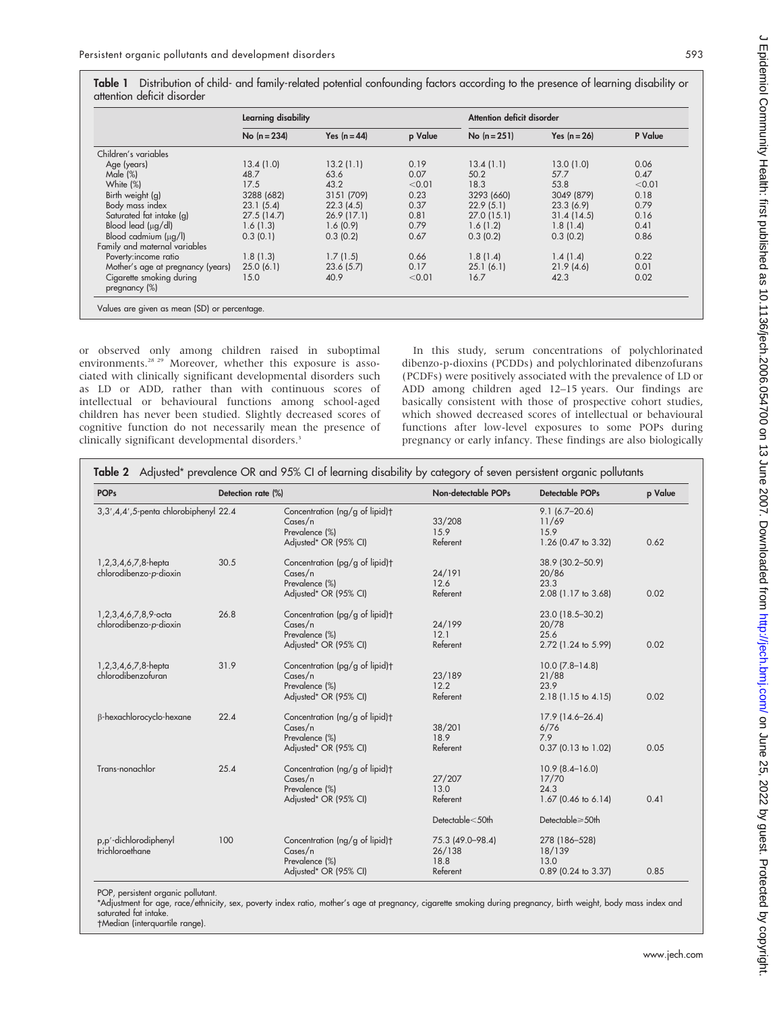Table 1 Distribution of child- and family-related potential confounding factors according to the presence of learning disability or attention deficit disorder

|                                              | Learning disability |              |         | Attention deficit disorder |                |         |
|----------------------------------------------|---------------------|--------------|---------|----------------------------|----------------|---------|
|                                              | No $(n = 234)$      | Yes $(n=44)$ | p Value | No $(n=251)$               | Yes $(n = 26)$ | P Value |
| Children's variables                         |                     |              |         |                            |                |         |
| Age (years)                                  | 13.4(1.0)           | 13.2(1.1)    | 0.19    | 13.4(1.1)                  | 13.0(1.0)      | 0.06    |
| Male $(\%)$                                  | 48.7                | 63.6         | 0.07    | 50.2                       | 57.7           | 0.47    |
| White (%)                                    | 17.5                | 43.2         | < 0.01  | 18.3                       | 53.8           | < 0.01  |
| Birth weight (g)                             | 3288 (682)          | 3151 (709)   | 0.23    | 3293 (660)                 | 3049 (879)     | 0.18    |
| Body mass index                              | 23.1(5.4)           | 22.3(4.5)    | 0.37    | 22.9(5.1)                  | 23.3(6.9)      | 0.79    |
| Saturated fat intake (g)                     | 27.5(14.7)          | 26.9(17.1)   | 0.81    | 27.0(15.1)                 | 31.4(14.5)     | 0.16    |
| Blood lead (µg/dl)                           | 1.6(1.3)            | 1.6(0.9)     | 0.79    | 1.6(1.2)                   | 1.8(1.4)       | 0.41    |
| Blood cadmium $(\mu g/l)$                    | 0.3(0.1)            | 0.3(0.2)     | 0.67    | 0.3(0.2)                   | 0.3(0.2)       | 0.86    |
| Family and maternal variables                |                     |              |         |                            |                |         |
| Poverty:income ratio                         | 1.8(1.3)            | 1.7(1.5)     | 0.66    | 1.8(1.4)                   | 1.4(1.4)       | 0.22    |
| Mother's age at pregnancy (years)            | 25.0(6.1)           | 23.6(5.7)    | 0.17    | 25.1(6.1)                  | 21.9(4.6)      | 0.01    |
| Cigarette smoking during<br>pregnancy $(\%)$ | 15.0                | 40.9         | < 0.01  | 16.7                       | 42.3           | 0.02    |

or observed only among children raised in suboptimal environments.<sup>28</sup> <sup>29</sup> Moreover, whether this exposure is associated with clinically significant developmental disorders such as LD or ADD, rather than with continuous scores of intellectual or behavioural functions among school-aged children has never been studied. Slightly decreased scores of cognitive function do not necessarily mean the presence of clinically significant developmental disorders.<sup>3</sup>

In this study, serum concentrations of polychlorinated dibenzo-p-dioxins (PCDDs) and polychlorinated dibenzofurans (PCDFs) were positively associated with the prevalence of LD or ADD among children aged 12–15 years. Our findings are basically consistent with those of prospective cohort studies, which showed decreased scores of intellectual or behavioural functions after low-level exposures to some POPs during pregnancy or early infancy. These findings are also biologically

| <b>POPs</b>                                    | Detection rate (%) |                                                                                               | Non-detectable POPs                            | <b>Detectable POPs</b>                                                  | p Value |
|------------------------------------------------|--------------------|-----------------------------------------------------------------------------------------------|------------------------------------------------|-------------------------------------------------------------------------|---------|
| 3,3',4,4',5-penta chlorobiphenyl 22.4          |                    | Concentration (ng/g of lipid)+<br>$\text{Cases}/n$<br>Prevalence (%)<br>Adjusted* OR (95% CI) | 33/208<br>15.9<br>Referent                     | $9.1(6.7-20.6)$<br>11/69<br>15.9<br>1.26 (0.47 to 3.32)                 | 0.62    |
| 1,2,3,4,6,7,8-hepta<br>chlorodibenzo-p-dioxin  | 30.5               | Concentration (pg/g of lipid)+<br>$\text{Cases}/n$<br>Prevalence (%)<br>Adjusted* OR (95% CI) | 24/191<br>12.6<br>Referent                     | 38.9 (30.2-50.9)<br>20/86<br>23.3<br>2.08 (1.17 to 3.68)                | 0.02    |
| 1,2,3,4,6,7,8,9-octa<br>chlorodibenzo-p-dioxin | 26.8               | Concentration (pg/g of lipid)+<br>$\text{Cases}/n$<br>Prevalence (%)<br>Adjusted* OR (95% CI) | 24/199<br>12.1<br>Referent                     | 23.0 (18.5-30.2)<br>20/78<br>25.6<br>2.72 (1.24 to 5.99)                | 0.02    |
| 1,2,3,4,6,7,8-hepta<br>chlorodibenzofuran      | 31.9               | Concentration (pg/g of lipid)+<br>$\text{Cases}/n$<br>Prevalence (%)<br>Adjusted* OR (95% CI) | 23/189<br>12.2<br>Referent                     | $10.0$ $(7.8 - 14.8)$<br>21/88<br>23.9<br>$2.18(1.15 \text{ to } 4.15)$ | 0.02    |
| β-hexachlorocyclo-hexane                       | 22.4               | Concentration (ng/g of lipid)+<br>$\text{Cases}/n$<br>Prevalence (%)<br>Adjusted* OR (95% CI) | 38/201<br>18.9<br>Referent                     | 17.9 (14.6-26.4)<br>6/76<br>7.9<br>0.37 (0.13 to 1.02)                  | 0.05    |
| Trans-nonachlor                                | 25.4               | Concentration (ng/g of lipid)+<br>$\text{Cases}/n$<br>Prevalence (%)<br>Adjusted* OR (95% CI) | 27/207<br>13.0<br>Referent                     | $10.9(8.4 - 16.0)$<br>17/70<br>24.3<br>1.67 (0.46 to 6.14)              | 0.41    |
|                                                |                    |                                                                                               | Detectable<50th                                | Detectable≥50th                                                         |         |
| p,p'-dichlorodiphenyl<br>trichloroethane       | 100                | Concentration (ng/g of lipid)+<br>$\text{Cases}/n$<br>Prevalence (%)<br>Adjusted* OR (95% CI) | 75.3 (49.0-98.4)<br>26/138<br>18.8<br>Referent | 278 (186-528)<br>18/139<br>13.0<br>0.89 (0.24 to 3.37)                  | 0.85    |

POP, persistent organic pollutant.

\*Adjustment for age, race/ethnicity, sex, poverty index ratio, mother's age at pregnancy, cigarette smoking during pregnancy, birth weight, body mass index and saturated fat intake

-Median (interquartile range).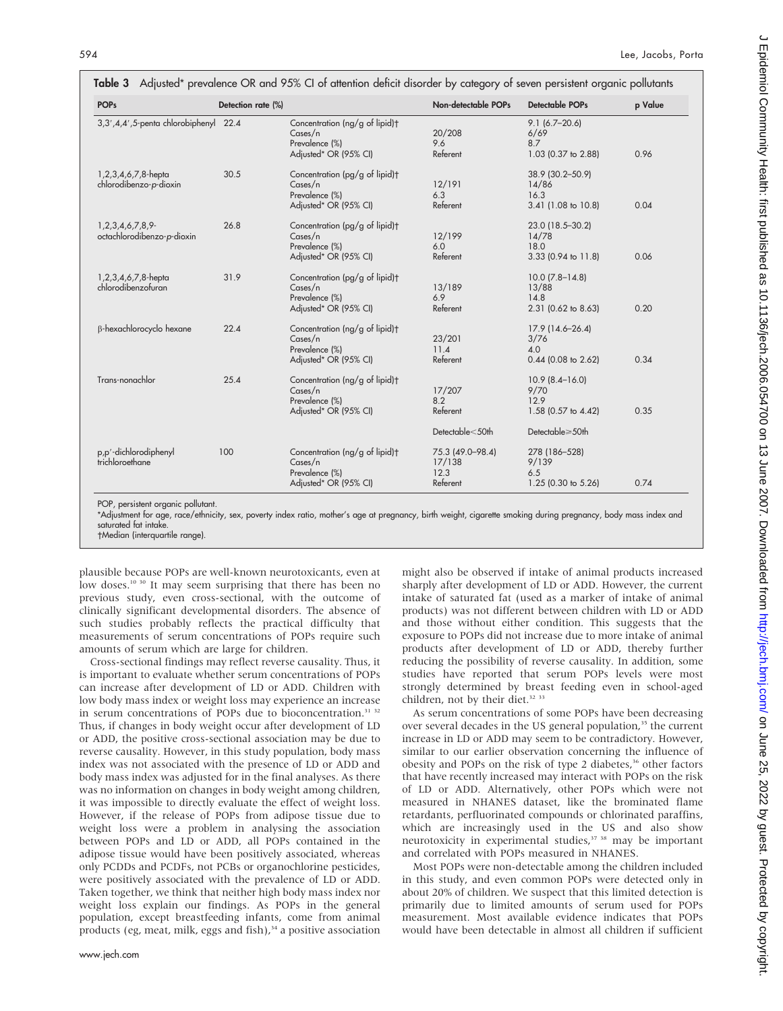| <b>POPs</b>                           | Detection rate (%) |                                                    | Non-detectable POPs | <b>Detectable POPs</b>  | p Value |
|---------------------------------------|--------------------|----------------------------------------------------|---------------------|-------------------------|---------|
| 3,3',4,4',5-penta chlorobiphenyl 22.4 |                    | Concentration (ng/g of lipid)+<br>$\text{Cases}/n$ | 20/208              | $9.1(6.7-20.6)$<br>6/69 |         |
|                                       |                    | Prevalence (%)                                     | 9.6                 | 8.7                     |         |
|                                       |                    | Adjusted* OR (95% CI)                              | Referent            | 1.03 (0.37 to 2.88)     | 0.96    |
|                                       |                    |                                                    |                     |                         |         |
| 1,2,3,4,6,7,8-hepta                   | 30.5               | Concentration (pg/g of lipid)+                     |                     | 38.9 (30.2-50.9)        |         |
| chlorodibenzo-p-dioxin                |                    | $\text{Cases}/n$                                   | 12/191              | 14/86                   |         |
|                                       |                    | Prevalence (%)                                     | 6.3                 | 16.3                    |         |
|                                       |                    | Adjusted* OR (95% CI)                              | Referent            | 3.41 (1.08 to 10.8)     | 0.04    |
|                                       |                    |                                                    |                     |                         |         |
| 1,2,3,4,6,7,8,9-                      | 26.8               | Concentration (pg/g of lipid)+                     |                     | 23.0 (18.5-30.2)        |         |
| octachlorodibenzo-p-dioxin            |                    | $\text{Cases}/n$                                   | 12/199              | 14/78                   |         |
|                                       |                    | Prevalence (%)                                     | 6.0                 | 18.0                    |         |
|                                       |                    | Adjusted* OR (95% CI)                              | Referent            | 3.33 (0.94 to 11.8)     | 0.06    |
|                                       |                    |                                                    |                     |                         |         |
| 1,2,3,4,6,7,8-hepta                   | 31.9               | Concentration (pg/g of lipid)+                     |                     | $10.0$ (7.8-14.8)       |         |
| chlorodibenzofuran                    |                    | $\text{Cases}/n$                                   | 13/189              | 13/88                   |         |
| β-hexachlorocyclo hexane              |                    | Prevalence (%)                                     | 6.9                 | 14.8                    |         |
|                                       |                    | Adjusted* OR (95% CI)                              | Referent            | 2.31 (0.62 to 8.63)     | 0.20    |
|                                       |                    |                                                    |                     |                         |         |
|                                       | 22.4               | Concentration (ng/g of lipid)+                     |                     | 17.9 (14.6-26.4)        |         |
|                                       |                    | $\text{Cases}/n$                                   | 23/201              | 3/76                    |         |
|                                       |                    | Prevalence (%)                                     | 11.4                | 4.0                     |         |
|                                       |                    | Adjusted* OR (95% CI)                              | Referent            | $0.44$ (0.08 to 2.62)   | 0.34    |
| Trans-nonachlor                       | 25.4               | Concentration (ng/g of lipid)+                     |                     | $10.9(8.4 - 16.0)$      |         |
|                                       |                    | $\text{Cases}/n$                                   | 17/207              | 9/70                    |         |
|                                       |                    |                                                    | 8.2                 | 12.9                    |         |
|                                       |                    | Prevalence (%)                                     |                     |                         |         |
|                                       |                    | Adjusted* OR (95% CI)                              | Referent            | 1.58 (0.57 to 4.42)     | 0.35    |
|                                       |                    |                                                    | Detectable<50th     | Detectable $\geq 50$ th |         |
| p,p'-dichlorodiphenyl                 | 100                | Concentration (ng/g of lipid)+                     | 75.3 (49.0-98.4)    | 278 (186-528)           |         |
| trichloroethane                       |                    | $\text{Cases}/n$                                   | 17/138              | 9/139                   |         |
|                                       |                    | Prevalence (%)                                     | 12.3                | 6.5                     |         |
|                                       |                    | Adjusted* OR (95% CI)                              | Referent            | 1.25 (0.30 to 5.26)     | 0.74    |
|                                       |                    |                                                    |                     |                         |         |

Table 3 Adjusted\* prevalence OR and 95% CI of attention deficit disorder by category of seven persistent organic pollutants

POP, persistent organic pollutant

\*Adjustment for age, race/ethnicity, sex, poverty index ratio, mother's age at pregnancy, birth weight, cigarette smoking during pregnancy, body mass index and saturated fat intake

-Median (interquartile range).

plausible because POPs are well-known neurotoxicants, even at low doses.<sup>10 30</sup> It may seem surprising that there has been no previous study, even cross-sectional, with the outcome of clinically significant developmental disorders. The absence of such studies probably reflects the practical difficulty that measurements of serum concentrations of POPs require such amounts of serum which are large for children.

Cross-sectional findings may reflect reverse causality. Thus, it is important to evaluate whether serum concentrations of POPs can increase after development of LD or ADD. Children with low body mass index or weight loss may experience an increase in serum concentrations of POPs due to bioconcentration.<sup>31</sup><sup>32</sup> Thus, if changes in body weight occur after development of LD or ADD, the positive cross-sectional association may be due to reverse causality. However, in this study population, body mass index was not associated with the presence of LD or ADD and body mass index was adjusted for in the final analyses. As there was no information on changes in body weight among children, it was impossible to directly evaluate the effect of weight loss. However, if the release of POPs from adipose tissue due to weight loss were a problem in analysing the association between POPs and LD or ADD, all POPs contained in the adipose tissue would have been positively associated, whereas only PCDDs and PCDFs, not PCBs or organochlorine pesticides, were positively associated with the prevalence of LD or ADD. Taken together, we think that neither high body mass index nor weight loss explain our findings. As POPs in the general population, except breastfeeding infants, come from animal products (eg, meat, milk, eggs and fish),<sup>34</sup> a positive association

might also be observed if intake of animal products increased sharply after development of LD or ADD. However, the current intake of saturated fat (used as a marker of intake of animal products) was not different between children with LD or ADD and those without either condition. This suggests that the exposure to POPs did not increase due to more intake of animal products after development of LD or ADD, thereby further reducing the possibility of reverse causality. In addition, some studies have reported that serum POPs levels were most strongly determined by breast feeding even in school-aged children, not by their diet.<sup>32</sup> <sup>33</sup>

As serum concentrations of some POPs have been decreasing over several decades in the US general population,<sup>35</sup> the current increase in LD or ADD may seem to be contradictory. However, similar to our earlier observation concerning the influence of obesity and POPs on the risk of type 2 diabetes,<sup>36</sup> other factors that have recently increased may interact with POPs on the risk of LD or ADD. Alternatively, other POPs which were not measured in NHANES dataset, like the brominated flame retardants, perfluorinated compounds or chlorinated paraffins, which are increasingly used in the US and also show neurotoxicity in experimental studies,<sup>37</sup> <sup>38</sup> may be important and correlated with POPs measured in NHANES.

Most POPs were non-detectable among the children included in this study, and even common POPs were detected only in about 20% of children. We suspect that this limited detection is primarily due to limited amounts of serum used for POPs measurement. Most available evidence indicates that POPs would have been detectable in almost all children if sufficient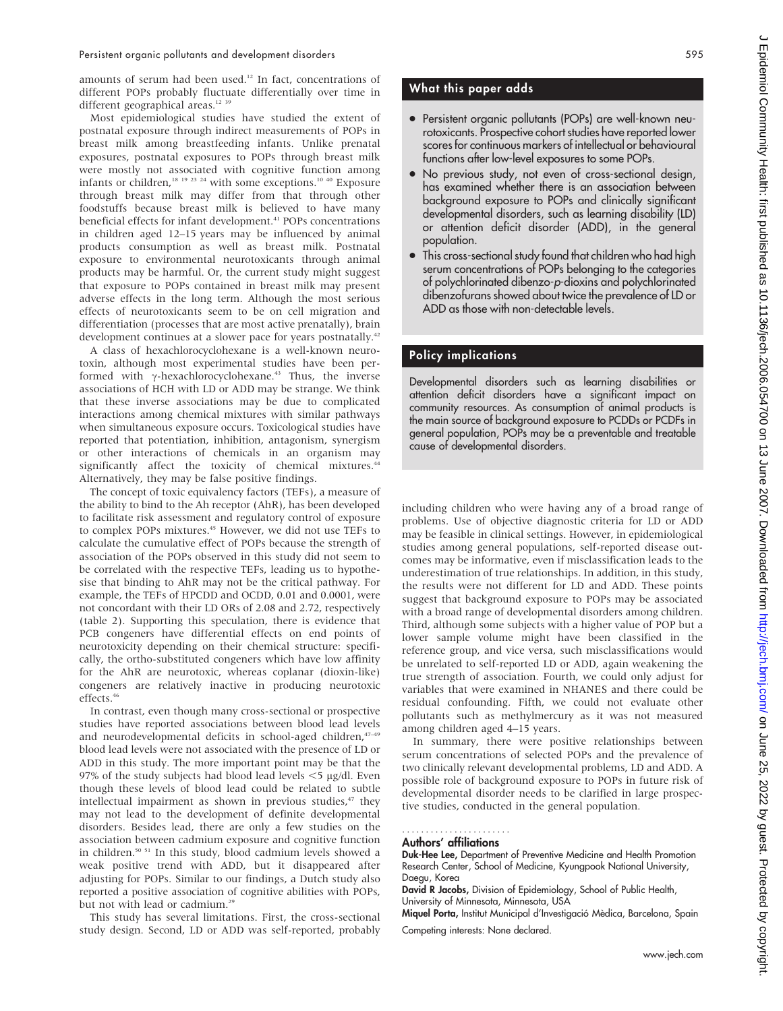amounts of serum had been used.12 In fact, concentrations of different POPs probably fluctuate differentially over time in different geographical areas.<sup>12 39</sup>

Most epidemiological studies have studied the extent of postnatal exposure through indirect measurements of POPs in breast milk among breastfeeding infants. Unlike prenatal exposures, postnatal exposures to POPs through breast milk were mostly not associated with cognitive function among infants or children,18 19 23 24 with some exceptions.10 40 Exposure through breast milk may differ from that through other foodstuffs because breast milk is believed to have many beneficial effects for infant development.<sup>41</sup> POPs concentrations in children aged 12–15 years may be influenced by animal products consumption as well as breast milk. Postnatal exposure to environmental neurotoxicants through animal products may be harmful. Or, the current study might suggest that exposure to POPs contained in breast milk may present adverse effects in the long term. Although the most serious effects of neurotoxicants seem to be on cell migration and differentiation (processes that are most active prenatally), brain development continues at a slower pace for years postnatally.<sup>42</sup>

A class of hexachlorocyclohexane is a well-known neurotoxin, although most experimental studies have been performed with  $\gamma$ -hexachlorocyclohexane.<sup>43</sup> Thus, the inverse associations of HCH with LD or ADD may be strange. We think that these inverse associations may be due to complicated interactions among chemical mixtures with similar pathways when simultaneous exposure occurs. Toxicological studies have reported that potentiation, inhibition, antagonism, synergism or other interactions of chemicals in an organism may significantly affect the toxicity of chemical mixtures.<sup>44</sup> Alternatively, they may be false positive findings.

The concept of toxic equivalency factors (TEFs), a measure of the ability to bind to the Ah receptor (AhR), has been developed to facilitate risk assessment and regulatory control of exposure to complex POPs mixtures.<sup>45</sup> However, we did not use TEFs to calculate the cumulative effect of POPs because the strength of association of the POPs observed in this study did not seem to be correlated with the respective TEFs, leading us to hypothesise that binding to AhR may not be the critical pathway. For example, the TEFs of HPCDD and OCDD, 0.01 and 0.0001, were not concordant with their LD ORs of 2.08 and 2.72, respectively (table 2). Supporting this speculation, there is evidence that PCB congeners have differential effects on end points of neurotoxicity depending on their chemical structure: specifically, the ortho-substituted congeners which have low affinity for the AhR are neurotoxic, whereas coplanar (dioxin-like) congeners are relatively inactive in producing neurotoxic effects.46

In contrast, even though many cross-sectional or prospective studies have reported associations between blood lead levels and neurodevelopmental deficits in school-aged children,  $47-49$ blood lead levels were not associated with the presence of LD or ADD in this study. The more important point may be that the 97% of the study subjects had blood lead levels  $\leq$  5 µg/dl. Even though these levels of blood lead could be related to subtle intellectual impairment as shown in previous studies,<sup>47</sup> they may not lead to the development of definite developmental disorders. Besides lead, there are only a few studies on the association between cadmium exposure and cognitive function in children.50 51 In this study, blood cadmium levels showed a weak positive trend with ADD, but it disappeared after adjusting for POPs. Similar to our findings, a Dutch study also reported a positive association of cognitive abilities with POPs, but not with lead or cadmium.<sup>29</sup>

This study has several limitations. First, the cross-sectional study design. Second, LD or ADD was self-reported, probably

#### What this paper adds

- Persistent organic pollutants (POPs) are well-known neurotoxicants. Prospective cohort studies have reported lower scores for continuous markers of intellectual or behavioural functions after low-level exposures to some POPs.
- No previous study, not even of cross-sectional design, has examined whether there is an association between background exposure to POPs and clinically significant developmental disorders, such as learning disability (LD) or attention deficit disorder (ADD), in the general population.
- This cross-sectional study found that children who had high serum concentrations of POPs belonging to the categories of polychlorinated dibenzo-p-dioxins and polychlorinated dibenzofurans showed about twice the prevalence of LD or ADD as those with non-detectable levels.

### Policy implications

Developmental disorders such as learning disabilities or attention deficit disorders have a significant impact on community resources. As consumption of animal products is the main source of background exposure to PCDDs or PCDFs in general population, POPs may be a preventable and treatable cause of developmental disorders.

including children who were having any of a broad range of problems. Use of objective diagnostic criteria for LD or ADD may be feasible in clinical settings. However, in epidemiological studies among general populations, self-reported disease outcomes may be informative, even if misclassification leads to the underestimation of true relationships. In addition, in this study, the results were not different for LD and ADD. These points suggest that background exposure to POPs may be associated with a broad range of developmental disorders among children. Third, although some subjects with a higher value of POP but a lower sample volume might have been classified in the reference group, and vice versa, such misclassifications would be unrelated to self-reported LD or ADD, again weakening the true strength of association. Fourth, we could only adjust for variables that were examined in NHANES and there could be residual confounding. Fifth, we could not evaluate other pollutants such as methylmercury as it was not measured among children aged 4–15 years.

In summary, there were positive relationships between serum concentrations of selected POPs and the prevalence of two clinically relevant developmental problems, LD and ADD. A possible role of background exposure to POPs in future risk of developmental disorder needs to be clarified in large prospective studies, conducted in the general population.

#### Authors' affiliations .......................

Duk-Hee Lee, Department of Preventive Medicine and Health Promotion Research Center, School of Medicine, Kyungpook National University, Daegu, Korea

David R Jacobs, Division of Epidemiology, School of Public Health, University of Minnesota, Minnesota, USA

Miquel Porta, Institut Municipal d'Investigació Mèdica, Barcelona, Spain Competing interests: None declared.